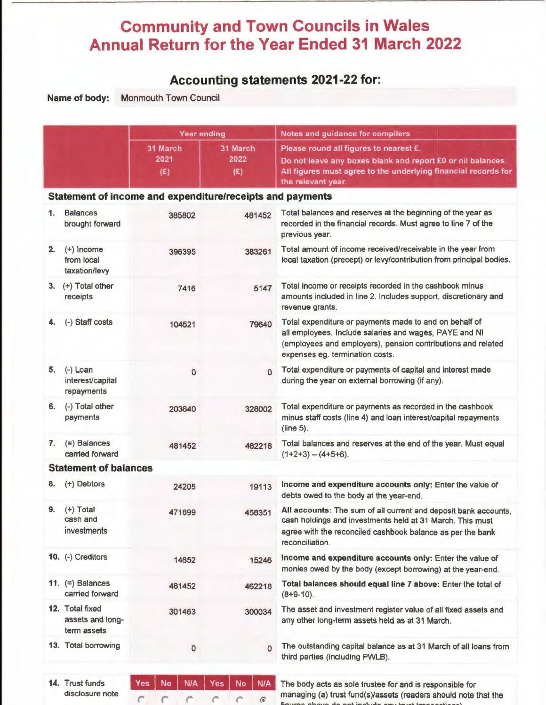# **Community and Town Councils in Wales Annual Return for the Year Ended 31 March 2022**

# **Accounting statements 2021-22 for:**

**Name of body:** Monmouth Town Council

|    |                                                    | Year ending                                               |                               | Notes and guidance for compilers                                                                                                                                                                                    |  |  |  |  |
|----|----------------------------------------------------|-----------------------------------------------------------|-------------------------------|---------------------------------------------------------------------------------------------------------------------------------------------------------------------------------------------------------------------|--|--|--|--|
|    |                                                    | 31 March<br>2021<br>(E)                                   | 31 March<br>2022<br>(E)       | Please round all figures to nearest £.<br>Do not leave any boxes blank and report E0 or nil balances.<br>All figures must agree to the underlying financial records for<br>the relevant year.                       |  |  |  |  |
|    |                                                    | Statement of income and expenditure/receipts and payments |                               |                                                                                                                                                                                                                     |  |  |  |  |
| 1. | <b>Balances</b><br>brought forward                 | 385802                                                    | 481452                        | Total balances and reserves at the beginning of the year as<br>recorded in the financial records. Must agree to line 7 of the<br>previous year.                                                                     |  |  |  |  |
| 2. | $(+)$ Income<br>from local<br>taxation/levy        | 396395                                                    | 383261                        | Total amount of income received/receivable in the year from<br>local taxation (precept) or levy/contribution from principal bodies.                                                                                 |  |  |  |  |
|    | 3. $(+)$ Total other<br>receipts                   | 7416                                                      | 5147                          | Total income or receipts recorded in the cashbook minus<br>amounts included in line 2. Includes support, discretionary and<br>revenue grants.                                                                       |  |  |  |  |
| 4. | (-) Staff costs                                    | 104521                                                    | 79640                         | Total expenditure or payments made to and on behalf of<br>all employees. Include salaries and wages, PAYE and NI<br>(employees and employers), pension contributions and related<br>expenses eg. termination costs. |  |  |  |  |
| 5. | $(-)$ Loan<br>interest/capital<br>repayments       | $\Omega$                                                  | $\Omega$                      | Total expenditure or payments of capital and interest made<br>during the year on external borrowing (if any).                                                                                                       |  |  |  |  |
| 6. | (-) Total other<br>payments                        | 203640                                                    | 328002                        | Total expenditure or payments as recorded in the cashbook<br>minus staff costs (line 4) and loan interest/capital repayments<br>(line 5).                                                                           |  |  |  |  |
| 7. | $(=)$ Balances<br>carried forward                  | 481452                                                    | 462218                        | Total balances and reserves at the end of the year. Must equal<br>$(1+2+3) - (4+5+6)$ .                                                                                                                             |  |  |  |  |
|    | <b>Statement of balances</b>                       |                                                           |                               |                                                                                                                                                                                                                     |  |  |  |  |
| 8. | (+) Debtors                                        | 24205                                                     | 19113                         | Income and expenditure accounts only: Enter the value of<br>debts owed to the body at the year-end.                                                                                                                 |  |  |  |  |
| 9. | $(+)$ Total<br>cash and<br>investments             | 471899                                                    | 458351                        | All accounts: The sum of all current and deposit bank accounts.<br>cash holdings and investments held at 31 March. This must<br>agree with the reconciled cashbook balance as per the bank<br>reconciliation.       |  |  |  |  |
|    | 10. (-) Creditors                                  | 14652                                                     | 15246                         | Income and expenditure accounts only: Enter the value of<br>monies owed by the body (except borrowing) at the year-end.                                                                                             |  |  |  |  |
|    | 11. $(=)$ Balances<br>carried forward              | 481452                                                    | 462218                        | Total balances should equal line 7 above: Enter the total of<br>$(8+9-10)$ .                                                                                                                                        |  |  |  |  |
|    | 12. Total fixed<br>assets and long-<br>term assets | 301463                                                    | 300034                        | The asset and investment register value of all fixed assets and<br>any other long-term assets held as at 31 March.                                                                                                  |  |  |  |  |
|    | 13. Total borrowing                                | $\mathbf 0$                                               | $\Omega$                      | The outstanding capital balance as at 31 March of all loans from<br>third parties (including PWLB).                                                                                                                 |  |  |  |  |
|    | 14. Trust funds<br>disclosure note                 | <b>N/A</b><br>Yes<br>No                                   | <b>N/A</b><br>Yes<br>No<br>Ğ. | The body acts as sole trustee for and is responsible for<br>managing (a) trust fund(s)/assets (readers should note that the                                                                                         |  |  |  |  |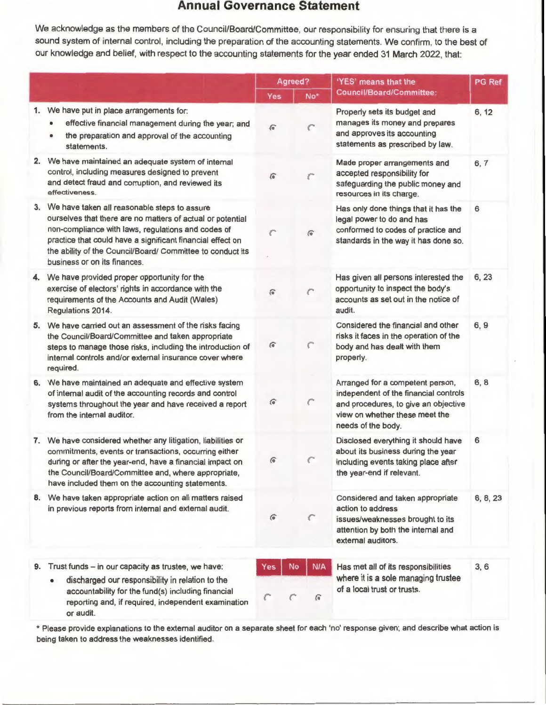### **Annual Governance Statement**

We acknowledge as the members of the Council/Board/Committee, our responsibility for ensuring that there is a sound system of internal control, including the preparation of the accounting statements. We confirm, to the best of our knowledge and belief, with respect to the accounting statements for the year ended 31 March 2022, that:

|    |                                                                                                                                                                                                                                                                                                                              |               | Agreed?  | 'YES' means that the                                                                                                                                                      | <b>PG</b> Ref |
|----|------------------------------------------------------------------------------------------------------------------------------------------------------------------------------------------------------------------------------------------------------------------------------------------------------------------------------|---------------|----------|---------------------------------------------------------------------------------------------------------------------------------------------------------------------------|---------------|
|    |                                                                                                                                                                                                                                                                                                                              | <b>Yes</b>    | No*      | Council/Board/Committee:                                                                                                                                                  |               |
|    | 1. We have put in place arrangements for:<br>effective financial management during the year; and<br>the preparation and approval of the accounting<br>٠<br>statements.                                                                                                                                                       | $\widehat{G}$ |          | Properly sets its budget and<br>manages its money and prepares<br>and approves its accounting<br>statements as prescribed by law.                                         | 6, 12         |
|    | 2. We have maintained an adequate system of internal<br>control, including measures designed to prevent<br>and detect fraud and corruption, and reviewed its<br>effectiveness.                                                                                                                                               | Ġ             |          | Made proper arrangements and<br>accepted responsibility for<br>safeguarding the public money and<br>resources in its charge.                                              | 6, 7          |
| 3. | We have taken all reasonable steps to assure<br>ourselves that there are no matters of actual or potential<br>non-compliance with laws, regulations and codes of<br>practice that could have a significant financial effect on<br>the ability of the Council/Board/ Committee to conduct its<br>business or on its finances. | C             | $\sigma$ | Has only done things that it has the<br>legal power to do and has<br>conformed to codes of practice and<br>standards in the way it has done so.                           | 6             |
| 4. | We have provided proper opportunity for the<br>exercise of electors' rights in accordance with the<br>requirements of the Accounts and Audit (Wales)<br>Regulations 2014.                                                                                                                                                    | G             |          | Has given all persons interested the<br>opportunity to inspect the body's<br>accounts as set out in the notice of<br>audit.                                               | 6, 23         |
| 5. | We have carried out an assessment of the risks facing<br>the Council/Board/Committee and taken appropriate<br>steps to manage those risks, including the introduction of<br>internal controls and/or external insurance cover where<br>required.                                                                             | G             | C        | Considered the financial and other<br>risks it faces in the operation of the<br>body and has dealt with them<br>properly.                                                 | 6, 9          |
| 6. | We have maintained an adequate and effective system<br>of internal audit of the accounting records and control<br>systems throughout the year and have received a report<br>from the internal auditor.                                                                                                                       | $\widehat{G}$ |          | Arranged for a competent person,<br>independent of the financial controls<br>and procedures, to give an objective<br>view on whether these meet the<br>needs of the body. | 6, 8          |
|    | 7. We have considered whether any litigation, liabilities or<br>commitments, events or transactions, occurring either<br>during or after the year-end, have a financial impact on<br>the Council/Board/Committee and, where appropriate,<br>have included them on the accounting statements.                                 | €             | C        | Disclosed everything it should have<br>about its business during the year<br>including events taking place after<br>the year-end if relevant.                             | 6             |
| 8. | We have taken appropriate action on all matters raised<br>in previous reports from internal and external audit.                                                                                                                                                                                                              | $\widehat{G}$ | C        | Considered and taken appropriate<br>action to address<br>issues/weaknesses brought to its<br>attention by both the internal and<br>external auditors.                     | 6, 8, 23      |
| 9. | Trust funds - in our capacity as trustee, we have:<br>discharged our responsibility in relation to the<br>$\bullet$<br>accountability for the fund(s) including financial<br>reporting and, if required, independent examination<br>or audit.                                                                                | Yes           | No       | <b>N/A</b><br>Has met all of its responsibilities<br>where it is a sole managing trustee<br>of a local trust or trusts.<br>G                                              | 3, 6          |

• Please provide explanations to the external auditor on a separate sheet for each 'no' response given; and describe what action is being taken to address the weaknesses identified.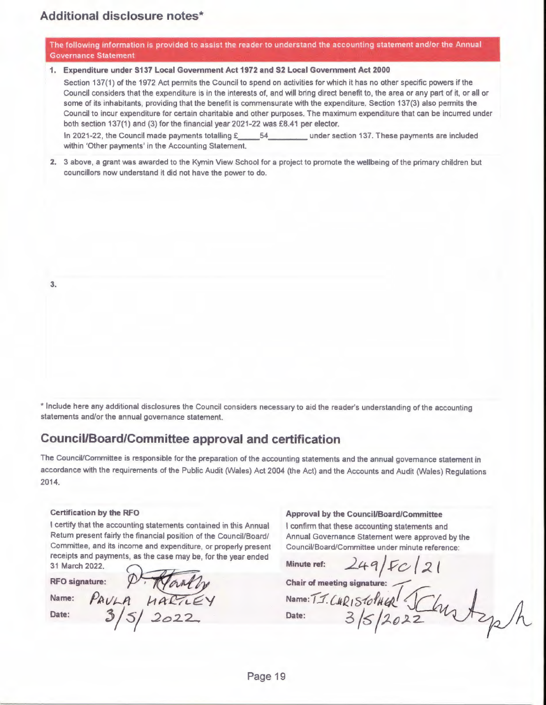The following information is provided to assist the reader to understand the accounting statement and/or the Annual Governance Statement

#### **1. Expenditure under S137 Local Government Act 1972 and S2 Local Government Act 2000**

Section 137(1) of the 1972 Act permits the Council to spend on activities for which it has no other specific powers if the Council considers that the expenditure is in the interests of, and will bring direct benefit to, the area or any part of it, or all or some of its inhabitants, providing that the benefit is commensurate with the expenditure. Section 137(3) also permits the Council to incur expenditure for certain charitable and other purposes. The maximum expenditure that can be incurred under both section 137(1) and (3) for the financial year 2021-22 was £8.41 per elector.

In 2021-22, the Council made payments totalling £\_\_\_\_54\_\_\_\_\_\_\_\_ under section 137. These payments are included within 'Other payments' in the Accounting Statement.

**2.** 3 above, a grant was awarded to the Kymin View School for a project to promote the wellbeing of the primary children but councillors now understand it did not have the power to do.

**3.** 

• Include here any additional disclosures the Council considers necessary to aid the reader's understanding of the accounting statements and/or the annual governance statement.

### **Council/Board/Committee approval and certification**

The Council/Committee is responsible for the preparation of the accounting statements and the annual governance statement in accordance with the requirements of the Public Audit (Wales) Act 2004 (the Act) and the Accounts and Audit (Wales) Regulations 2014.

#### **Certification by the RFO**

I certify that the accounting statements contained in this Annual Return present fairly the financial position of the Council/Board/ Committee, and its income and expenditure, or property present receipts and payments, as the case may be, for the year ended 31 March 2022.

**RFO signature:** 

Name:  $PAVLA$   $\mu$ 

Date:  $3/5/2022$ 

**Approval by the Council/Board/Committee** 

I confirm that these accounting statements and Annual Governance Statement were approved by the Council/Board/Committee under minute reference:

 $\frac{249}{50}$ 

Chair of meeting signature:<br>Name: T.J. C.H.R<sub>1</sub> S*tolH URL* 

Date: 3/5/2022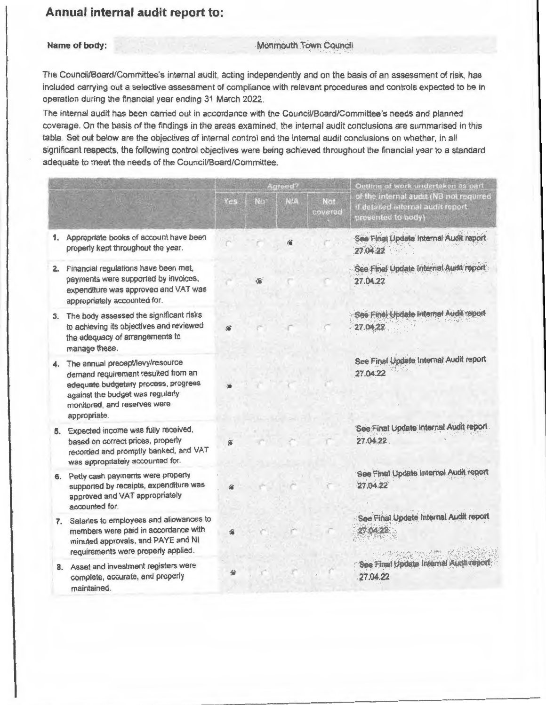## **Annual internal audit report to:**

### **Name of body:** Monmouth Town Council

The Council/Board/Committee's internal audit, acting independently and on the basis of an assessment of risk, has included carrying out a selective assessment of compliance with relevant procedures and controls expected to be in operation during the financial year ending 31 March 2022.

The internal audit has been carried out in accordance with the Council/Board/Committee's needs and planned coverage. On the basis of the findings in the areas examined, the internal audit conclusions are summarised in this table. Set out below are the objectives of internal control and the internal audit conclusions on whether, in all significant respects, the following control objectives were being achieved throughout the financial year to a standard adequate to meet the needs of the Council/Board/Committee.

|    |                                                                                                                                                                                                        |     |    | Agreed?    |                | Outline of work undertaken as part<br>of the internal audit (NB not required<br>if detailed internal audit report<br>presented to body) |
|----|--------------------------------------------------------------------------------------------------------------------------------------------------------------------------------------------------------|-----|----|------------|----------------|-----------------------------------------------------------------------------------------------------------------------------------------|
|    |                                                                                                                                                                                                        | Yes | No | <b>N/A</b> | Not<br>covered |                                                                                                                                         |
| 1. | Appropriate books of account have been<br>properly kept throughout the year.                                                                                                                           |     |    |            |                | See Final Update Internal Audit report<br>27.04.22                                                                                      |
|    | 2. Financial regulations have been met,<br>payments were supported by invoices,<br>expenditure was approved and VAT was<br>appropriately accounted for.                                                |     |    |            |                | See Final Update Internal Audit report<br>27.04.22                                                                                      |
| 3. | The body assessed the significant risks<br>to achieving its objectives and reviewed<br>the adequacy of arrangements to<br>manage these.                                                                |     |    |            |                | See Final Update Internal Audit report<br>27.04.22                                                                                      |
|    | 4. The annual precept/levy/resource<br>demand requirement resulted from an<br>adequate budgetary process, progress<br>against the budget was regularly<br>monitored, and reserves were<br>appropriate. |     |    |            |                | See Final Update Internal Audit report<br>27.04.22                                                                                      |
|    | 5. Expected income was fully received,<br>based on correct prices, properly<br>recorded and promptly banked, and VAT<br>was appropriately accounted for.                                               | ô   |    |            |                | See Final Update Internal Audit report<br>27.04.22                                                                                      |
| 6. | Petty cash payments were properly<br>supported by receipts, expenditure was<br>approved and VAT appropriately<br>accounted for.                                                                        |     |    |            |                | See Final Update Internal Audit report<br>27.04.22                                                                                      |
| 7. | Salaries to employees and allowances to<br>members were paid in accordance with<br>minuted approvals, and PAYE and NI<br>requirements were properly applied.                                           |     |    |            |                | See Final Update Internal Audit report<br>1235 931                                                                                      |
|    | 8. Asset and investment registers were<br>complete, accurate, and properly<br>maintained.                                                                                                              |     |    |            |                | See Final Update Internal Audit report<br>27.04.22                                                                                      |